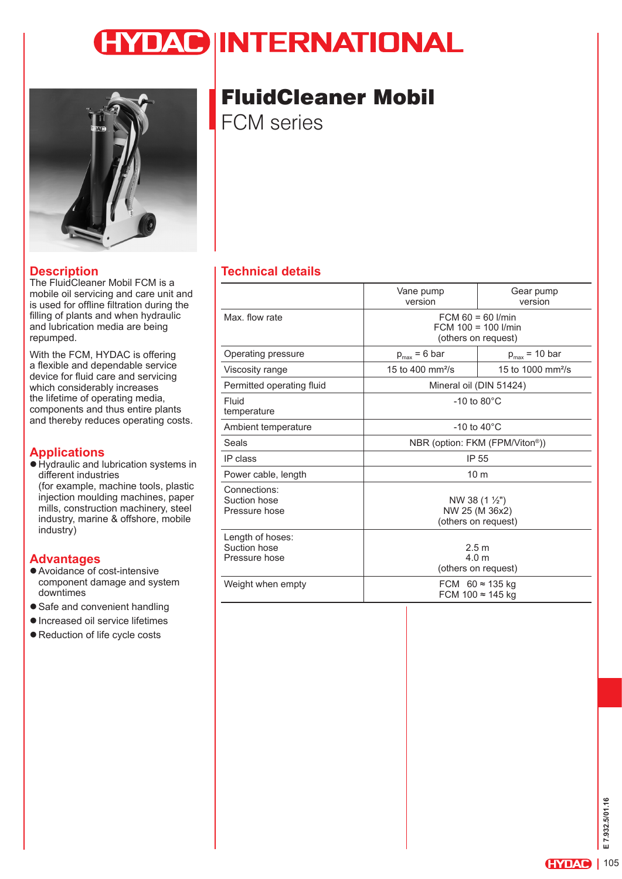# **IYDAC INTERNATIONAL**



### **Description**

The FluidCleaner Mobil FCM is a mobile oil servicing and care unit and is used for offline filtration during the filling of plants and when hydraulic and lubrication media are being repumped.

With the FCM, HYDAC is offering a flexible and dependable service device for fluid care and servicing which considerably increases the lifetime of operating media, components and thus entire plants and thereby reduces operating costs.

### **Applications**

 $\bullet$  Hydraulic and lubrication systems in different industries (for example, machine tools, plastic injection moulding machines, paper mills, construction machinery, steel industry, marine & offshore, mobile industry)

### **Advantages**

- Avoidance of cost-intensive component damage and system downtimes
- Safe and convenient handling
- $\bullet$  Increased oil service lifetimes
- Reduction of life cycle costs

# FluidCleaner Mobil

FCM series

### **Technical details**

|                                                   | Vane pump<br>version         | Gear pump<br>version                                                       |  |  |  |
|---------------------------------------------------|------------------------------|----------------------------------------------------------------------------|--|--|--|
| Max, flow rate                                    |                              | $FCM 60 = 60$ <i>I/min</i><br>$FCM 100 = 100$ I/min<br>(others on request) |  |  |  |
| Operating pressure                                | $p_{max} = 6$ bar            | $p_{max}$ = 10 bar                                                         |  |  |  |
| Viscosity range                                   | 15 to 400 mm <sup>2</sup> /s | 15 to 1000 mm <sup>2</sup> /s                                              |  |  |  |
| Permitted operating fluid                         |                              | Mineral oil (DIN 51424)                                                    |  |  |  |
| Fluid<br>temperature                              |                              | $-10$ to 80 $^{\circ}$ C                                                   |  |  |  |
| Ambient temperature                               |                              | $-10$ to $40^{\circ}$ C                                                    |  |  |  |
| Seals                                             |                              | NBR (option: FKM (FPM/Viton®))                                             |  |  |  |
| IP class                                          |                              | IP 55                                                                      |  |  |  |
| Power cable, length                               |                              | 10 <sub>m</sub>                                                            |  |  |  |
| Connections:<br>Suction hose<br>Pressure hose     |                              | NW 38 $(1 \frac{1}{2})$<br>NW 25 (M 36x2)<br>(others on request)           |  |  |  |
| Length of hoses:<br>Suction hose<br>Pressure hose |                              | 2.5 <sub>m</sub><br>4.0 <sub>m</sub><br>(others on request)                |  |  |  |
| Weight when empty                                 |                              | FCM $60 \approx 135$ kg<br>FCM 100 ≈ 145 kg                                |  |  |  |
|                                                   | ٠                            |                                                                            |  |  |  |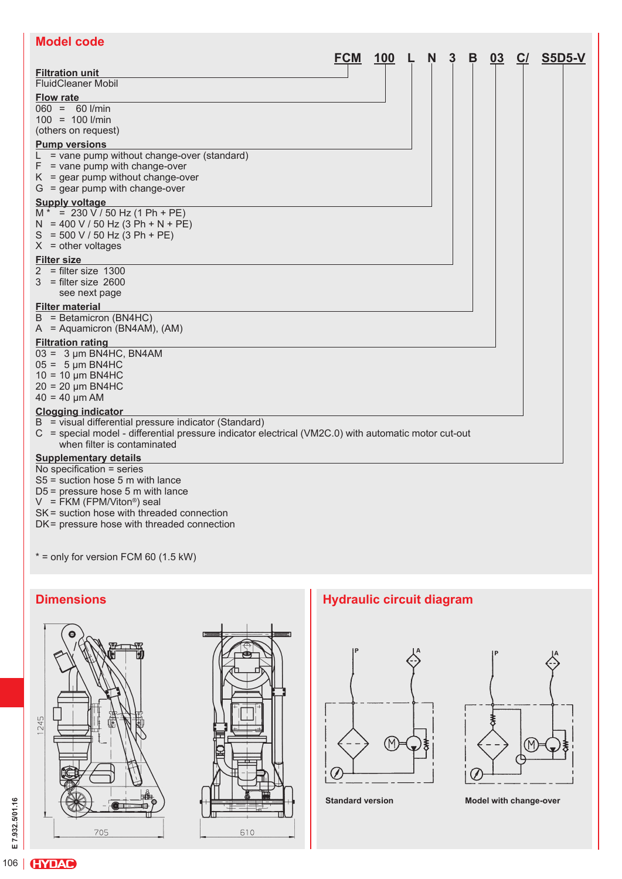| <b>Model code</b>                                                                                                                                                                            |            |            |   |   |   |    |    |        |
|----------------------------------------------------------------------------------------------------------------------------------------------------------------------------------------------|------------|------------|---|---|---|----|----|--------|
|                                                                                                                                                                                              | <b>FCM</b> | <b>100</b> | N | 3 | B | 03 | C/ | S5D5-V |
| <b>Filtration unit</b><br><b>FluidCleaner Mobil</b>                                                                                                                                          |            |            |   |   |   |    |    |        |
| <b>Flow rate</b>                                                                                                                                                                             |            |            |   |   |   |    |    |        |
| $060 = 60$ I/min<br>$100 = 100$ I/min<br>(others on request)                                                                                                                                 |            |            |   |   |   |    |    |        |
| <b>Pump versions</b>                                                                                                                                                                         |            |            |   |   |   |    |    |        |
| $L =$ vane pump without change-over (standard)<br>$F =$ vane pump with change-over<br>$K =$ gear pump without change-over<br>$G =$ gear pump with change-over                                |            |            |   |   |   |    |    |        |
| <b>Supply voltage</b>                                                                                                                                                                        |            |            |   |   |   |    |    |        |
| $M^* = 230 \text{ V} / 50 \text{ Hz}$ (1 Ph + PE)<br>$N = 400 V / 50 Hz (3 Ph + N + PE)$<br>$S = 500 V / 50 Hz (3 Ph + PE)$<br>$X = other voltages$                                          |            |            |   |   |   |    |    |        |
| <b>Filter size</b>                                                                                                                                                                           |            |            |   |   |   |    |    |        |
| $2 =$ filter size 1300<br>$3 =$ filter size 2600<br>see next page                                                                                                                            |            |            |   |   |   |    |    |        |
| <b>Filter material</b>                                                                                                                                                                       |            |            |   |   |   |    |    |        |
| $B = Betamicron (BN4HC)$<br>$A =$ Aquamicron (BN4AM), (AM)                                                                                                                                   |            |            |   |   |   |    |    |        |
| <b>Filtration rating</b>                                                                                                                                                                     |            |            |   |   |   |    |    |        |
| $03 = 3 \mu m$ BN4HC, BN4AM<br>$05 = 5 \mu m$ BN4HC<br>$10 = 10 \mu m$ BN4HC<br>$20 = 20 \mu m$ BN4HC<br>$40 = 40 \mu m$ AM                                                                  |            |            |   |   |   |    |    |        |
| <b>Clogging indicator</b>                                                                                                                                                                    |            |            |   |   |   |    |    |        |
| B = visual differential pressure indicator (Standard)<br>C = special model - differential pressure indicator electrical (VM2C.0) with automatic motor cut-out<br>when filter is contaminated |            |            |   |   |   |    |    |        |
| <b>Supplementary details</b>                                                                                                                                                                 |            |            |   |   |   |    |    |        |
| No specification = series<br>$S5$ = suction hose 5 m with lance<br>$D5$ = pressure hose 5 m with lance                                                                                       |            |            |   |   |   |    |    |        |

V = FKM (FPM/Viton®) seal

SK= suction hose with threaded connection

DK= pressure hose with threaded connection

 $* =$  only for version FCM 60 (1.5 kW)









**Standard version Model with change-over**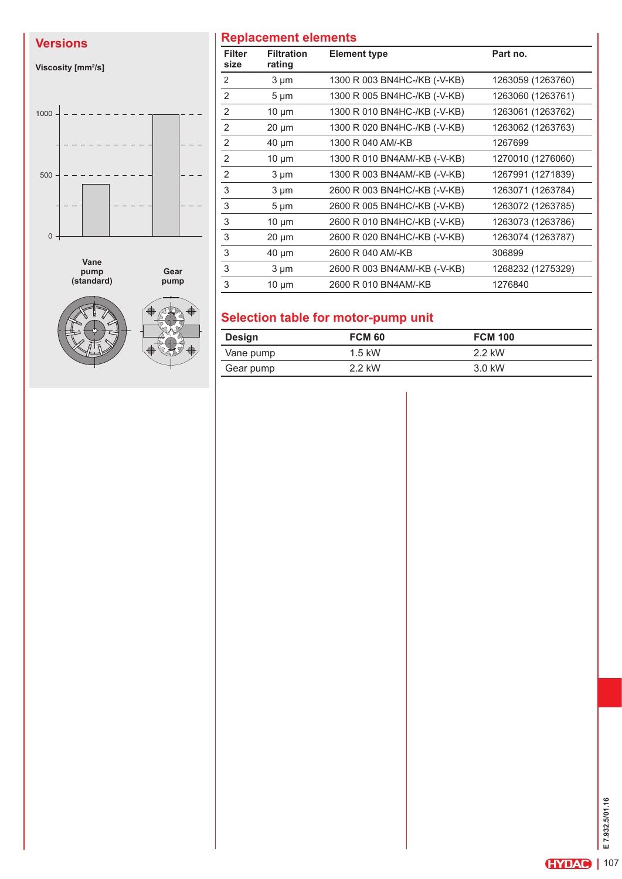**Viscosity [mm²/s]**



**pump (standard)**



**pump**

## **Versions Replacement elements**

| <b>Filter</b><br>size | <b>Filtration</b><br>rating | <b>Element type</b>          | Part no.          |
|-----------------------|-----------------------------|------------------------------|-------------------|
| 2                     | $3 \mu m$                   | 1300 R 003 BN4HC-/KB (-V-KB) | 1263059 (1263760) |
| 2                     | $5 \mu m$                   | 1300 R 005 BN4HC-/KB (-V-KB) | 1263060 (1263761) |
| 2                     | $10 \mu m$                  | 1300 R 010 BN4HC-/KB (-V-KB) | 1263061 (1263762) |
| 2                     | $20 \mu m$                  | 1300 R 020 BN4HC-/KB (-V-KB) | 1263062 (1263763) |
| 2                     | $40 \mu m$                  | 1300 R 040 AM/-KB            | 1267699           |
| $\overline{2}$        | $10 \mu m$                  | 1300 R 010 BN4AM/-KB (-V-KB) | 1270010 (1276060) |
| 2                     | $3 \mu m$                   | 1300 R 003 BN4AM/-KB (-V-KB) | 1267991 (1271839) |
| 3                     | $3 \mu m$                   | 2600 R 003 BN4HC/-KB (-V-KB) | 1263071 (1263784) |
| 3                     | $5 \mu m$                   | 2600 R 005 BN4HC/-KB (-V-KB) | 1263072 (1263785) |
| 3                     | $10 \mu m$                  | 2600 R 010 BN4HC/-KB (-V-KB) | 1263073 (1263786) |
| 3                     | $20 \mu m$                  | 2600 R 020 BN4HC/-KB (-V-KB) | 1263074 (1263787) |
| 3                     | $40 \mu m$                  | 2600 R 040 AM/-KB            | 306899            |
| 3                     | $3 \mu m$                   | 2600 R 003 BN4AM/-KB (-V-KB) | 1268232 (1275329) |
| 3                     | $10 \mu m$                  | 2600 R 010 BN4AM/-KB         | 1276840           |

# **Selection table for motor-pump unit**

| Design    | <b>FCM 60</b> | <b>FCM 100</b> |
|-----------|---------------|----------------|
| Vane pump | $1.5$ kW      | 2.2 kW         |
| Gear pump | 2.2 kW        | 3.0 kW         |